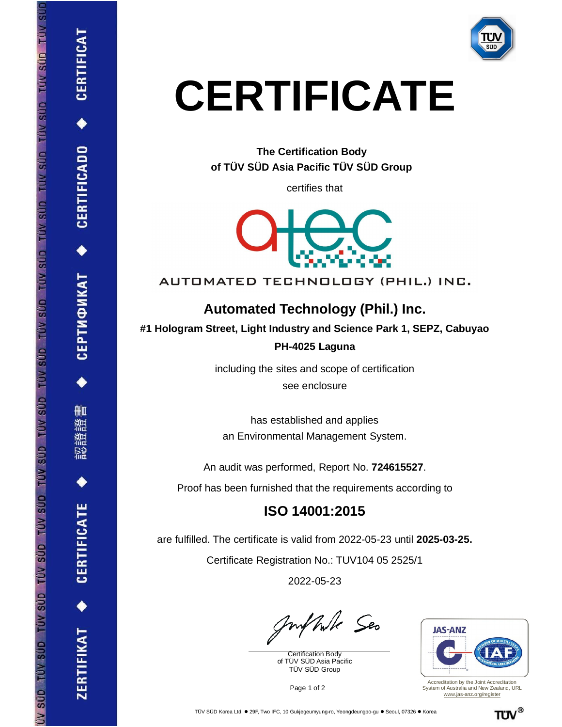

# **CERTIFICATE**

**The Certification Body of TÜV SÜD Asia Pacific TÜV SÜD Group**

certifies that



AUTOMATED TECHNOLOGY (PHIL.) INC.

## **Automated Technology (Phil.) Inc.**

**#1 Hologram Street, Light Industry and Science Park 1, SEPZ, Cabuyao**

#### **PH-4025 Laguna**

including the sites and scope of certification see enclosure

has established and applies an Environmental Management System.

An audit was performed, Report No. **724615527**.

Proof has been furnished that the requirements according to

## **ISO 14001:2015**

are fulfilled. The certificate is valid from 2022-05-23 until **2025-03-25.**

Certificate Registration No.: TUV104 05 2525/1

2022-05-23

Mulle Seo

Certification Body of TÜV SÜD Asia Pacific TÜV SÜD Group



Accreditation by the Joint Accreditation System of Australia and New Zealand, URL [www.jas-anz.org/register](http://www.jas-anz.org/register)



**CERTIFICADO** 

ТИФИКАТ